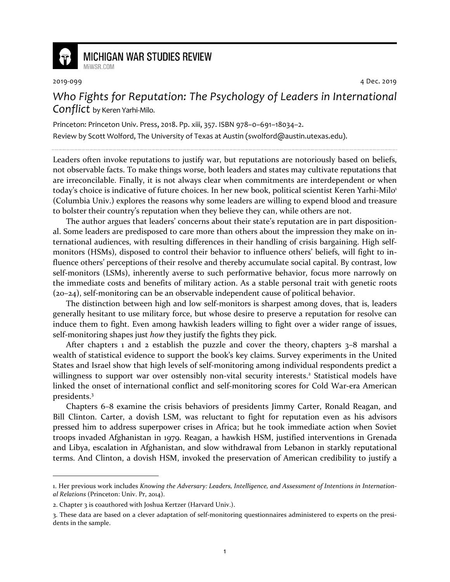

## **MICHIGAN WAR STUDIES REVIEW** MiWSR COM

2019-099 4 Dec. 2019

## *Who Fights for Reputation: The Psychology of Leaders in International Conflict* by Keren Yarhi-Milo.

Princeton: Princeton Univ. Press, 2018. Pp. xiii, 357. ISBN 978–0–691–18034–2. Review by Scott Wolford, The University of Texas at Austin (swolford@austin.utexas.edu).

Leaders often invoke reputations to justify war, but reputations are notoriously based on beliefs, not observable facts. To make things worse, both leaders and states may cultivate reputations that are irreconcilable. Finally, it is not always clear when commitments are interdependent or when today's choice is indicative of future choices. In her new book, political scientist Keren Yarhi-Milo<sup>1</sup> (Columbia Univ.) explores the reasons why some leaders are willing to expend blood and treasure to bolster their country's reputation when they believe they can, while others are not.

The author argues that leaders' concerns about their state's reputation are in part dispositional. Some leaders are predisposed to care more than others about the impression they make on international audiences, with resulting differences in their handling of crisis bargaining. High selfmonitors (HSMs), disposed to control their behavior to influence others' beliefs, will fight to influence others' perceptions of their resolve and thereby accumulate social capital. By contrast, low self-monitors (LSMs), inherently averse to such performative behavior, focus more narrowly on the immediate costs and benefits of military action. As a stable personal trait with genetic roots (20–24), self-monitoring can be an observable independent cause of political behavior.

The distinction between high and low self-monitors is sharpest among doves, that is, leaders generally hesitant to use military force, but whose desire to preserve a reputation for resolve can induce them to fight. Even among hawkish leaders willing to fight over a wider range of issues, self-monitoring shapes just *how* they justify the fights they pick.

After chapters 1 and 2 establish the puzzle and cover the theory, chapters  $3-8$  marshal a wealth of statistical evidence to support the book's key claims. Survey experiments in the United States and Israel show that high levels of self-monitoring among individual respondents predict a willingness to support war over ostensibly non-vital security interests.<sup>2</sup> Statistical models have linked the onset of international conflict and self-monitoring scores for Cold War-era American presidents.<sup>3</sup>

Chapters 6–8 examine the crisis behaviors of presidents Jimmy Carter, Ronald Reagan, and Bill Clinton. Carter, a dovish LSM, was reluctant to fight for reputation even as his advisors pressed him to address superpower crises in Africa; but he took immediate action when Soviet troops invaded Afghanistan in 1979. Reagan, a hawkish HSM, justified interventions in Grenada and Libya, escalation in Afghanistan, and slow withdrawal from Lebanon in starkly reputational terms. And Clinton, a dovish HSM, invoked the preservation of American credibility to justify a

<sup>1.</sup> Her previous work includes *Knowing the Adversary: Leaders, Intelligence, and Assessment of Intentions in International Relations* (Princeton: Univ. Pr, 2014).

<sup>2.</sup> Chapter 3 is coauthored with Joshua Kertzer (Harvard Univ.).

<sup>3.</sup> These data are based on a clever adaptation of self-monitoring questionnaires administered to experts on the presidents in the sample.